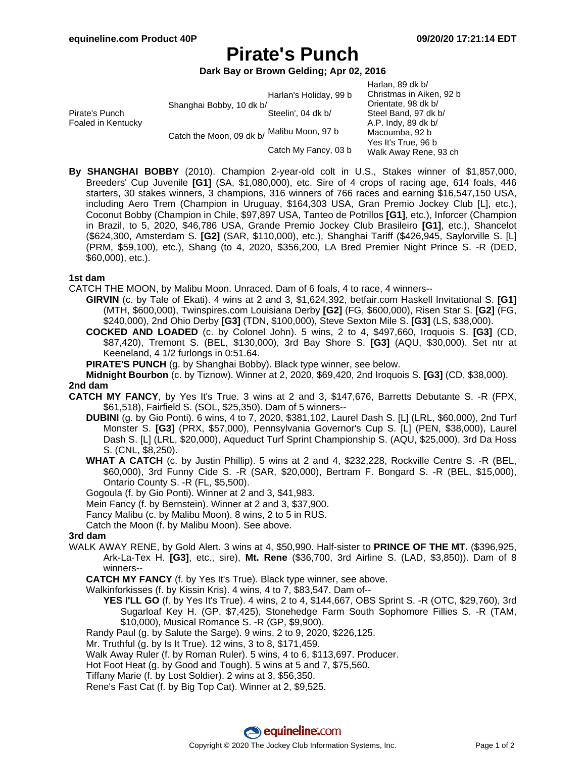# **Pirate's Punch**

**Dark Bay or Brown Gelding; Apr 02, 2016**

|                                      |                          |                        | Harlan, 89 dk b/         |
|--------------------------------------|--------------------------|------------------------|--------------------------|
|                                      |                          | Harlan's Holiday, 99 b | Christmas in Aiken, 92 b |
| Pirate's Punch<br>Foaled in Kentucky | Shanghai Bobby, 10 dk b/ |                        | Orientate, 98 dk b/      |
|                                      |                          | Steelin', 04 dk b/     | Steel Band, 97 dk b/     |
|                                      | Catch the Moon, 09 dk b/ |                        | A.P. Indy, 89 dk b/      |
|                                      |                          | , Malibu Moon, 97 b    | Macoumba, 92 b           |
|                                      |                          | Catch My Fancy, 03 b   | Yes It's True, 96 b      |
|                                      |                          |                        | Walk Away Rene, 93 ch    |

**By SHANGHAI BOBBY** (2010). Champion 2-year-old colt in U.S., Stakes winner of \$1,857,000, Breeders' Cup Juvenile **[G1]** (SA, \$1,080,000), etc. Sire of 4 crops of racing age, 614 foals, 446 starters, 30 stakes winners, 3 champions, 316 winners of 766 races and earning \$16,547,150 USA, including Aero Trem (Champion in Uruguay, \$164,303 USA, Gran Premio Jockey Club [L], etc.), Coconut Bobby (Champion in Chile, \$97,897 USA, Tanteo de Potrillos **[G1]**, etc.), Inforcer (Champion in Brazil, to 5, 2020, \$46,786 USA, Grande Premio Jockey Club Brasileiro **[G1]**, etc.), Shancelot (\$624,300, Amsterdam S. **[G2]** (SAR, \$110,000), etc.), Shanghai Tariff (\$426,945, Saylorville S. [L] (PRM, \$59,100), etc.), Shang (to 4, 2020, \$356,200, LA Bred Premier Night Prince S. -R (DED, \$60,000), etc.).

### **1st dam**

CATCH THE MOON, by Malibu Moon. Unraced. Dam of 6 foals, 4 to race, 4 winners--

- **GIRVIN** (c. by Tale of Ekati). 4 wins at 2 and 3, \$1,624,392, betfair.com Haskell Invitational S. **[G1]** (MTH, \$600,000), Twinspires.com Louisiana Derby **[G2]** (FG, \$600,000), Risen Star S. **[G2]** (FG, \$240,000), 2nd Ohio Derby **[G3]** (TDN, \$100,000), Steve Sexton Mile S. **[G3]** (LS, \$38,000).
- **COCKED AND LOADED** (c. by Colonel John). 5 wins, 2 to 4, \$497,660, Iroquois S. **[G3]** (CD, \$87,420), Tremont S. (BEL, \$130,000), 3rd Bay Shore S. **[G3]** (AQU, \$30,000). Set ntr at Keeneland, 4 1/2 furlongs in 0:51.64.

**PIRATE'S PUNCH** (g. by Shanghai Bobby). Black type winner, see below.

**Midnight Bourbon** (c. by Tiznow). Winner at 2, 2020, \$69,420, 2nd Iroquois S. **[G3]** (CD, \$38,000). **2nd dam**

**CATCH MY FANCY**, by Yes It's True. 3 wins at 2 and 3, \$147,676, Barretts Debutante S. -R (FPX, \$61,518), Fairfield S. (SOL, \$25,350). Dam of 5 winners--

- **DUBINI** (g. by Gio Ponti). 6 wins, 4 to 7, 2020, \$381,102, Laurel Dash S. [L] (LRL, \$60,000), 2nd Turf Monster S. **[G3]** (PRX, \$57,000), Pennsylvania Governor's Cup S. [L] (PEN, \$38,000), Laurel Dash S. [L] (LRL, \$20,000), Aqueduct Turf Sprint Championship S. (AQU, \$25,000), 3rd Da Hoss S. (CNL, \$8,250).
- **WHAT A CATCH** (c. by Justin Phillip). 5 wins at 2 and 4, \$232,228, Rockville Centre S. -R (BEL, \$60,000), 3rd Funny Cide S. -R (SAR, \$20,000), Bertram F. Bongard S. -R (BEL, \$15,000), Ontario County S. -R (FL, \$5,500).

Gogoula (f. by Gio Ponti). Winner at 2 and 3, \$41,983.

Mein Fancy (f. by Bernstein). Winner at 2 and 3, \$37,900.

Fancy Malibu (c. by Malibu Moon). 8 wins, 2 to 5 in RUS.

Catch the Moon (f. by Malibu Moon). See above.

### **3rd dam**

- WALK AWAY RENE, by Gold Alert. 3 wins at 4, \$50,990. Half-sister to **PRINCE OF THE MT.** (\$396,925, Ark-La-Tex H. **[G3]**, etc., sire), **Mt. Rene** (\$36,700, 3rd Airline S. (LAD, \$3,850)). Dam of 8 winners--
	- **CATCH MY FANCY** (f. by Yes It's True). Black type winner, see above.

Walkinforkisses (f. by Kissin Kris). 4 wins, 4 to 7, \$83,547. Dam of--

**YES I'LL GO** (f. by Yes It's True). 4 wins, 2 to 4, \$144,667, OBS Sprint S. -R (OTC, \$29,760), 3rd Sugarloaf Key H. (GP, \$7,425), Stonehedge Farm South Sophomore Fillies S. -R (TAM, \$10,000), Musical Romance S. -R (GP, \$9,900).

Randy Paul (g. by Salute the Sarge). 9 wins, 2 to 9, 2020, \$226,125.

Mr. Truthful (g. by Is It True). 12 wins, 3 to 8, \$171,459.

Walk Away Ruler (f. by Roman Ruler). 5 wins, 4 to 6, \$113,697. Producer.

Hot Foot Heat (g. by Good and Tough). 5 wins at 5 and 7, \$75,560.

Tiffany Marie (f. by Lost Soldier). 2 wins at 3, \$56,350.

Rene's Fast Cat (f. by Big Top Cat). Winner at 2, \$9,525.